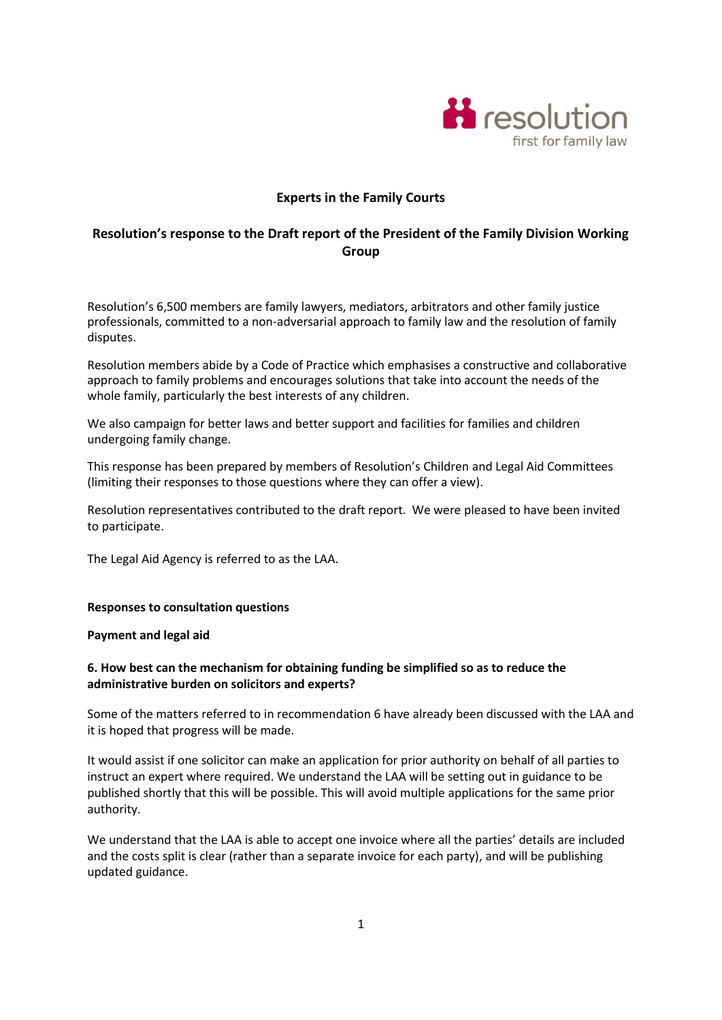

## **Experts in the Family Courts**

# **Resolution's response to the Draft report of the President of the Family Division Working Group**

Resolution's 6,500 members are family lawyers, mediators, arbitrators and other family justice professionals, committed to a non-adversarial approach to family law and the resolution of family disputes.

Resolution members abide by a Code of Practice which emphasises a constructive and collaborative approach to family problems and encourages solutions that take into account the needs of the whole family, particularly the best interests of any children.

We also campaign for better laws and better support and facilities for families and children undergoing family change.

This response has been prepared by members of Resolution's Children and Legal Aid Committees (limiting their responses to those questions where they can offer a view).

Resolution representatives contributed to the draft report. We were pleased to have been invited to participate.

The Legal Aid Agency is referred to as the LAA.

#### **Responses to consultation questions**

#### **Payment and legal aid**

### **6. How best can the mechanism for obtaining funding be simplified so as to reduce the administrative burden on solicitors and experts?**

Some of the matters referred to in recommendation 6 have already been discussed with the LAA and it is hoped that progress will be made.

It would assist if one solicitor can make an application for prior authority on behalf of all parties to instruct an expert where required. We understand the LAA will be setting out in guidance to be published shortly that this will be possible. This will avoid multiple applications for the same prior authority.

We understand that the LAA is able to accept one invoice where all the parties' details are included and the costs split is clear (rather than a separate invoice for each party), and will be publishing updated guidance.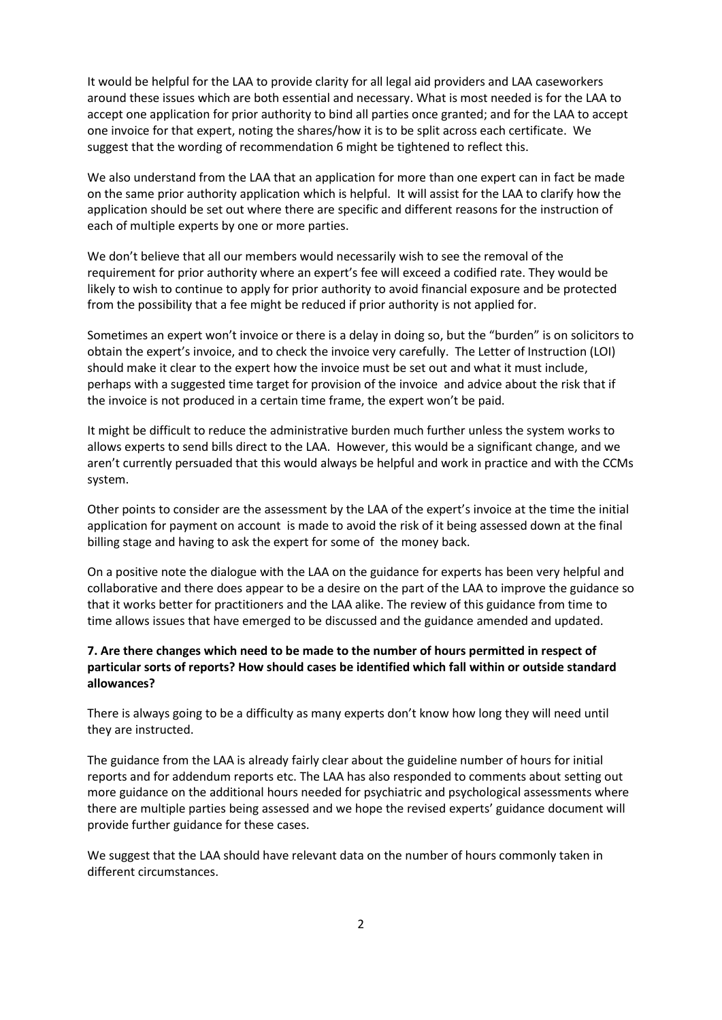It would be helpful for the LAA to provide clarity for all legal aid providers and LAA caseworkers around these issues which are both essential and necessary. What is most needed is for the LAA to accept one application for prior authority to bind all parties once granted; and for the LAA to accept one invoice for that expert, noting the shares/how it is to be split across each certificate. We suggest that the wording of recommendation 6 might be tightened to reflect this.

We also understand from the LAA that an application for more than one expert can in fact be made on the same prior authority application which is helpful. It will assist for the LAA to clarify how the application should be set out where there are specific and different reasons for the instruction of each of multiple experts by one or more parties.

We don't believe that all our members would necessarily wish to see the removal of the requirement for prior authority where an expert's fee will exceed a codified rate. They would be likely to wish to continue to apply for prior authority to avoid financial exposure and be protected from the possibility that a fee might be reduced if prior authority is not applied for.

Sometimes an expert won't invoice or there is a delay in doing so, but the "burden" is on solicitors to obtain the expert's invoice, and to check the invoice very carefully. The Letter of Instruction (LOI) should make it clear to the expert how the invoice must be set out and what it must include, perhaps with a suggested time target for provision of the invoice and advice about the risk that if the invoice is not produced in a certain time frame, the expert won't be paid.

It might be difficult to reduce the administrative burden much further unless the system works to allows experts to send bills direct to the LAA. However, this would be a significant change, and we aren't currently persuaded that this would always be helpful and work in practice and with the CCMs system.

Other points to consider are the assessment by the LAA of the expert's invoice at the time the initial application for payment on account is made to avoid the risk of it being assessed down at the final billing stage and having to ask the expert for some of the money back.

On a positive note the dialogue with the LAA on the guidance for experts has been very helpful and collaborative and there does appear to be a desire on the part of the LAA to improve the guidance so that it works better for practitioners and the LAA alike. The review of this guidance from time to time allows issues that have emerged to be discussed and the guidance amended and updated.

### **7. Are there changes which need to be made to the number of hours permitted in respect of particular sorts of reports? How should cases be identified which fall within or outside standard allowances?**

There is always going to be a difficulty as many experts don't know how long they will need until they are instructed.

The guidance from the LAA is already fairly clear about the guideline number of hours for initial reports and for addendum reports etc. The LAA has also responded to comments about setting out more guidance on the additional hours needed for psychiatric and psychological assessments where there are multiple parties being assessed and we hope the revised experts' guidance document will provide further guidance for these cases.

We suggest that the LAA should have relevant data on the number of hours commonly taken in different circumstances.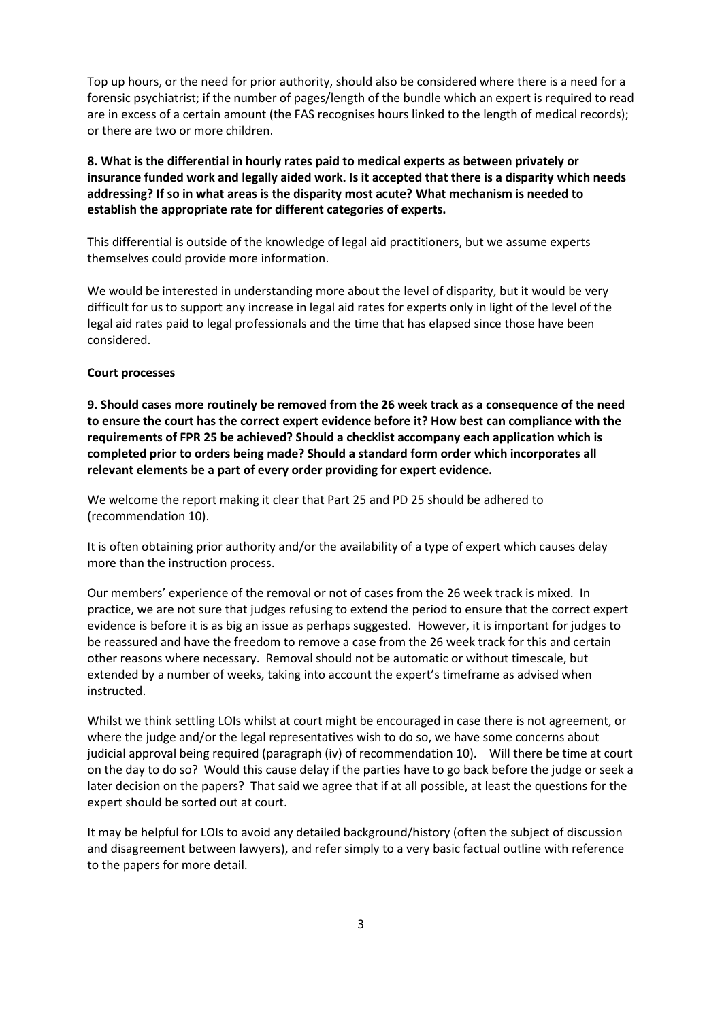Top up hours, or the need for prior authority, should also be considered where there is a need for a forensic psychiatrist; if the number of pages/length of the bundle which an expert is required to read are in excess of a certain amount (the FAS recognises hours linked to the length of medical records); or there are two or more children.

## **8. What is the differential in hourly rates paid to medical experts as between privately or insurance funded work and legally aided work. Is it accepted that there is a disparity which needs addressing? If so in what areas is the disparity most acute? What mechanism is needed to establish the appropriate rate for different categories of experts.**

This differential is outside of the knowledge of legal aid practitioners, but we assume experts themselves could provide more information.

We would be interested in understanding more about the level of disparity, but it would be very difficult for us to support any increase in legal aid rates for experts only in light of the level of the legal aid rates paid to legal professionals and the time that has elapsed since those have been considered.

#### **Court processes**

**9. Should cases more routinely be removed from the 26 week track as a consequence of the need to ensure the court has the correct expert evidence before it? How best can compliance with the requirements of FPR 25 be achieved? Should a checklist accompany each application which is completed prior to orders being made? Should a standard form order which incorporates all relevant elements be a part of every order providing for expert evidence.** 

We welcome the report making it clear that Part 25 and PD 25 should be adhered to (recommendation 10).

It is often obtaining prior authority and/or the availability of a type of expert which causes delay more than the instruction process.

Our members' experience of the removal or not of cases from the 26 week track is mixed. In practice, we are not sure that judges refusing to extend the period to ensure that the correct expert evidence is before it is as big an issue as perhaps suggested. However, it is important for judges to be reassured and have the freedom to remove a case from the 26 week track for this and certain other reasons where necessary. Removal should not be automatic or without timescale, but extended by a number of weeks, taking into account the expert's timeframe as advised when instructed.

Whilst we think settling LOIs whilst at court might be encouraged in case there is not agreement, or where the judge and/or the legal representatives wish to do so, we have some concerns about judicial approval being required (paragraph (iv) of recommendation 10). Will there be time at court on the day to do so? Would this cause delay if the parties have to go back before the judge or seek a later decision on the papers? That said we agree that if at all possible, at least the questions for the expert should be sorted out at court.

It may be helpful for LOIs to avoid any detailed background/history (often the subject of discussion and disagreement between lawyers), and refer simply to a very basic factual outline with reference to the papers for more detail.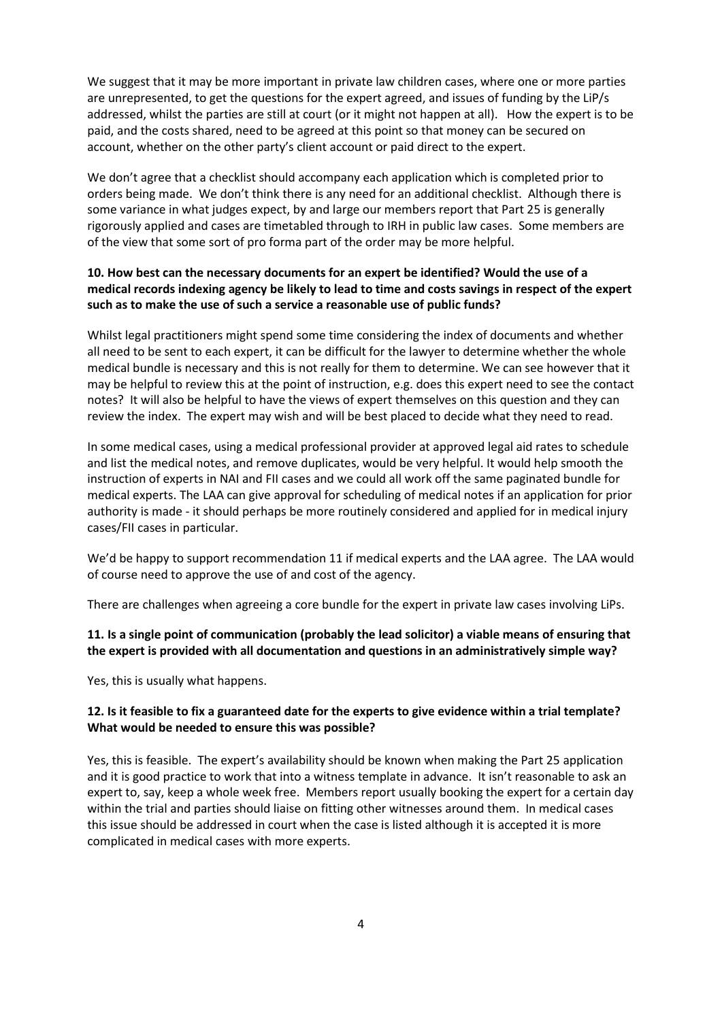We suggest that it may be more important in private law children cases, where one or more parties are unrepresented, to get the questions for the expert agreed, and issues of funding by the LiP/s addressed, whilst the parties are still at court (or it might not happen at all). How the expert is to be paid, and the costs shared, need to be agreed at this point so that money can be secured on account, whether on the other party's client account or paid direct to the expert.

We don't agree that a checklist should accompany each application which is completed prior to orders being made. We don't think there is any need for an additional checklist. Although there is some variance in what judges expect, by and large our members report that Part 25 is generally rigorously applied and cases are timetabled through to IRH in public law cases. Some members are of the view that some sort of pro forma part of the order may be more helpful.

### **10. How best can the necessary documents for an expert be identified? Would the use of a medical records indexing agency be likely to lead to time and costs savings in respect of the expert such as to make the use of such a service a reasonable use of public funds?**

Whilst legal practitioners might spend some time considering the index of documents and whether all need to be sent to each expert, it can be difficult for the lawyer to determine whether the whole medical bundle is necessary and this is not really for them to determine. We can see however that it may be helpful to review this at the point of instruction, e.g. does this expert need to see the contact notes? It will also be helpful to have the views of expert themselves on this question and they can review the index. The expert may wish and will be best placed to decide what they need to read.

In some medical cases, using a medical professional provider at approved legal aid rates to schedule and list the medical notes, and remove duplicates, would be very helpful. It would help smooth the instruction of experts in NAI and FII cases and we could all work off the same paginated bundle for medical experts. The LAA can give approval for scheduling of medical notes if an application for prior authority is made - it should perhaps be more routinely considered and applied for in medical injury cases/FII cases in particular.

We'd be happy to support recommendation 11 if medical experts and the LAA agree. The LAA would of course need to approve the use of and cost of the agency.

There are challenges when agreeing a core bundle for the expert in private law cases involving LiPs.

### **11. Is a single point of communication (probably the lead solicitor) a viable means of ensuring that the expert is provided with all documentation and questions in an administratively simple way?**

Yes, this is usually what happens.

### **12. Is it feasible to fix a guaranteed date for the experts to give evidence within a trial template? What would be needed to ensure this was possible?**

Yes, this is feasible. The expert's availability should be known when making the Part 25 application and it is good practice to work that into a witness template in advance. It isn't reasonable to ask an expert to, say, keep a whole week free. Members report usually booking the expert for a certain day within the trial and parties should liaise on fitting other witnesses around them. In medical cases this issue should be addressed in court when the case is listed although it is accepted it is more complicated in medical cases with more experts.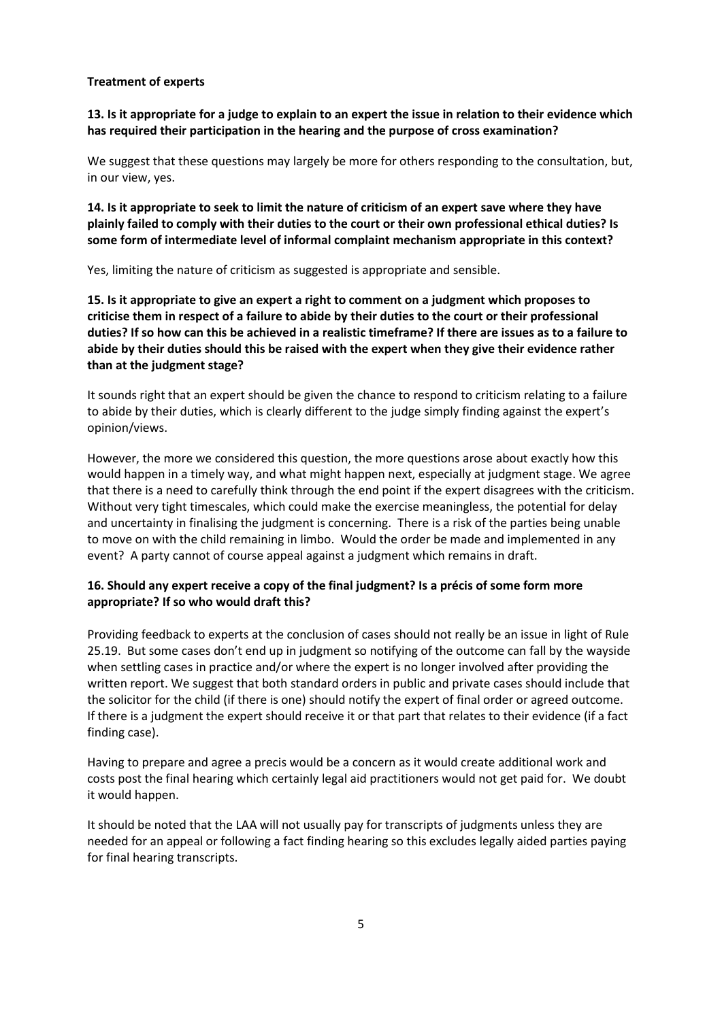#### **Treatment of experts**

**13. Is it appropriate for a judge to explain to an expert the issue in relation to their evidence which has required their participation in the hearing and the purpose of cross examination?** 

We suggest that these questions may largely be more for others responding to the consultation, but, in our view, yes.

**14. Is it appropriate to seek to limit the nature of criticism of an expert save where they have plainly failed to comply with their duties to the court or their own professional ethical duties? Is some form of intermediate level of informal complaint mechanism appropriate in this context?** 

Yes, limiting the nature of criticism as suggested is appropriate and sensible.

**15. Is it appropriate to give an expert a right to comment on a judgment which proposes to criticise them in respect of a failure to abide by their duties to the court or their professional duties? If so how can this be achieved in a realistic timeframe? If there are issues as to a failure to abide by their duties should this be raised with the expert when they give their evidence rather than at the judgment stage?** 

It sounds right that an expert should be given the chance to respond to criticism relating to a failure to abide by their duties, which is clearly different to the judge simply finding against the expert's opinion/views.

However, the more we considered this question, the more questions arose about exactly how this would happen in a timely way, and what might happen next, especially at judgment stage. We agree that there is a need to carefully think through the end point if the expert disagrees with the criticism. Without very tight timescales, which could make the exercise meaningless, the potential for delay and uncertainty in finalising the judgment is concerning. There is a risk of the parties being unable to move on with the child remaining in limbo. Would the order be made and implemented in any event? A party cannot of course appeal against a judgment which remains in draft.

### **16. Should any expert receive a copy of the final judgment? Is a précis of some form more appropriate? If so who would draft this?**

Providing feedback to experts at the conclusion of cases should not really be an issue in light of Rule 25.19. But some cases don't end up in judgment so notifying of the outcome can fall by the wayside when settling cases in practice and/or where the expert is no longer involved after providing the written report. We suggest that both standard orders in public and private cases should include that the solicitor for the child (if there is one) should notify the expert of final order or agreed outcome. If there is a judgment the expert should receive it or that part that relates to their evidence (if a fact finding case).

Having to prepare and agree a precis would be a concern as it would create additional work and costs post the final hearing which certainly legal aid practitioners would not get paid for. We doubt it would happen.

It should be noted that the LAA will not usually pay for transcripts of judgments unless they are needed for an appeal or following a fact finding hearing so this excludes legally aided parties paying for final hearing transcripts.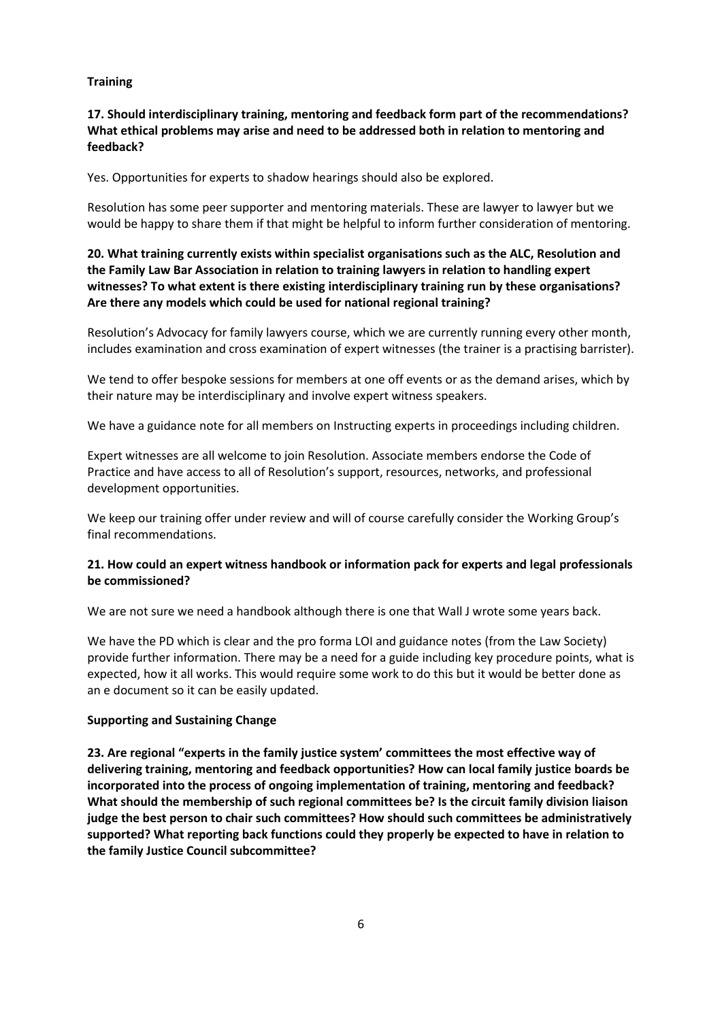#### **Training**

## **17. Should interdisciplinary training, mentoring and feedback form part of the recommendations? What ethical problems may arise and need to be addressed both in relation to mentoring and feedback?**

Yes. Opportunities for experts to shadow hearings should also be explored.

Resolution has some peer supporter and mentoring materials. These are lawyer to lawyer but we would be happy to share them if that might be helpful to inform further consideration of mentoring.

**20. What training currently exists within specialist organisations such as the ALC, Resolution and the Family Law Bar Association in relation to training lawyers in relation to handling expert witnesses? To what extent is there existing interdisciplinary training run by these organisations? Are there any models which could be used for national regional training?**

Resolution's Advocacy for family lawyers course, which we are currently running every other month, includes examination and cross examination of expert witnesses (the trainer is a practising barrister).

We tend to offer bespoke sessions for members at one off events or as the demand arises, which by their nature may be interdisciplinary and involve expert witness speakers.

We have a guidance note for all members on Instructing experts in proceedings including children.

Expert witnesses are all welcome to join Resolution. Associate members endorse the Code of Practice and have access to all of Resolution's support, resources, networks, and professional development opportunities.

We keep our training offer under review and will of course carefully consider the Working Group's final recommendations.

### **21. How could an expert witness handbook or information pack for experts and legal professionals be commissioned?**

We are not sure we need a handbook although there is one that Wall J wrote some years back.

We have the PD which is clear and the pro forma LOI and guidance notes (from the Law Society) provide further information. There may be a need for a guide including key procedure points, what is expected, how it all works. This would require some work to do this but it would be better done as an e document so it can be easily updated.

### **Supporting and Sustaining Change**

**23. Are regional "experts in the family justice system' committees the most effective way of delivering training, mentoring and feedback opportunities? How can local family justice boards be incorporated into the process of ongoing implementation of training, mentoring and feedback? What should the membership of such regional committees be? Is the circuit family division liaison judge the best person to chair such committees? How should such committees be administratively supported? What reporting back functions could they properly be expected to have in relation to the family Justice Council subcommittee?**